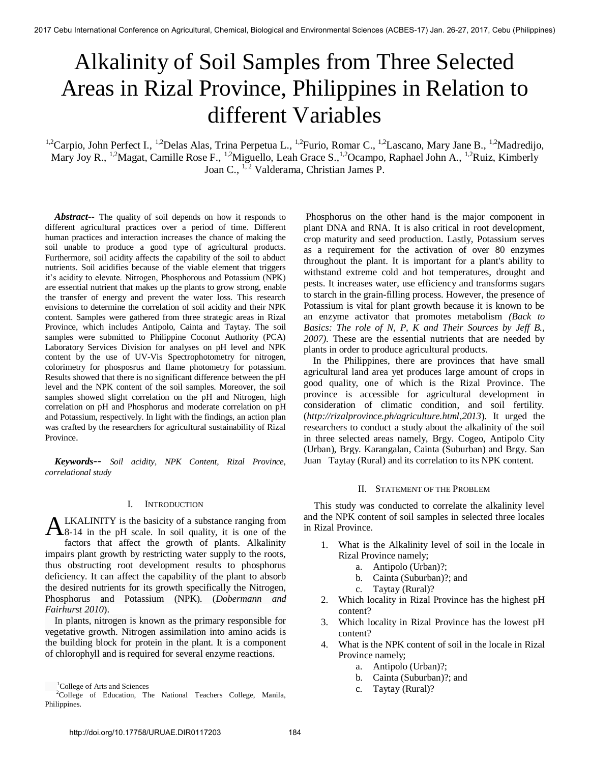# Alkalinity of Soil Samples from Three Selected Areas in Rizal Province, Philippines in Relation to different Variables

<sup>1,2</sup>Carpio, John Perfect I., <sup>1,2</sup>Delas Alas, Trina Perpetua L., <sup>1,2</sup>Furio, Romar C., <sup>1,2</sup>Lascano, Mary Jane B., <sup>1,2</sup>Madredijo, Mary Joy R., <sup>1,2</sup>Magat, Camille Rose F., <sup>1,2</sup>Miguello, Leah Grace S., <sup>1,2</sup>Ocampo, Raphael John A., <sup>1,2</sup>Ruiz, Kimberly Joan C., <sup>1,2</sup> Valderama, Christian James P.

 *Abstract***--** The quality of soil depends on how it responds to different agricultural practices over a period of time. Different human practices and interaction increases the chance of making the soil unable to produce a good type of agricultural products. Furthermore, soil acidity affects the capability of the soil to abduct nutrients. Soil acidifies because of the viable element that triggers it's acidity to elevate. Nitrogen, Phosphorous and Potassium (NPK) are essential nutrient that makes up the plants to grow strong, enable the transfer of energy and prevent the water loss. This research envisions to determine the correlation of soil acidity and their NPK content. Samples were gathered from three strategic areas in Rizal Province, which includes Antipolo, Cainta and Taytay. The soil samples were submitted to Philippine Coconut Authority (PCA) Laboratory Services Division for analyses on pH level and NPK content by the use of UV-Vis Spectrophotometry for nitrogen, colorimetry for phosposrus and flame photometry for potassium. Results showed that there is no significant difference between the pH level and the NPK content of the soil samples. Moreover, the soil samples showed slight correlation on the pH and Nitrogen, high correlation on pH and Phosphorus and moderate correlation on pH and Potassium, respectively. In light with the findings, an action plan was crafted by the researchers for agricultural sustainability of Rizal Province.

 *Keywords-- Soil acidity, NPK Content, Rizal Province, correlational study* 

### I. INTRODUCTION

LKALINITY is the basicity of a substance ranging from **ALKALINITY** is the basicity of a substance ranging from<br>8-14 in the pH scale. In soil quality, it is one of the factors that affect the growth of plants. Alkalinity impairs plant growth by restricting water supply to the roots, thus obstructing root development results to phosphorus deficiency. It can affect the capability of the plant to absorb the desired nutrients for its growth specifically the Nitrogen, Phosphorus and Potassium (NPK). (*Dobermann and Fairhurst 2010*).

 In plants, nitrogen is known as the primary responsible for vegetative growth. Nitrogen assimilation into amino acids is the building block for protein in the plant. It is a component of chlorophyll and is required for several enzyme reactions.

Phosphorus on the other hand is the major component in plant DNA and RNA. It is also critical in root development, crop maturity and seed production. Lastly, Potassium serves as a requirement for the activation of over 80 enzymes throughout the plant. It is important for a plant's ability to withstand extreme cold and hot temperatures, drought and pests. It increases water, use efficiency and transforms sugars to starch in the grain-filling process. However, the presence of Potassium is vital for plant growth because it is known to be an enzyme activator that promotes metabolism *(Back to Basics: The role of N, P, K and Their Sources by Jeff B., 2007)*. These are the essential nutrients that are needed by plants in order to produce agricultural products.

 In the Philippines, there are provinces that have small agricultural land area yet produces large amount of crops in good quality, one of which is the Rizal Province. The province is accessible for agricultural development in consideration of climatic condition, and soil fertility. (*[http://rizalprovince.ph/agriculture.html,](http://rizalprovince.ph/agriculture.html)2013*). It urged the researchers to conduct a study about the alkalinity of the soil in three selected areas namely, Brgy. Cogeo, Antipolo City (Urban), Brgy. Karangalan, Cainta (Suburban) and Brgy. San Juan Taytay (Rural) and its correlation to its NPK content.

# II. STATEMENT OF THE PROBLEM

 This study was conducted to correlate the alkalinity level and the NPK content of soil samples in selected three locales in Rizal Province.

- 1. What is the Alkalinity level of soil in the locale in Rizal Province namely;
	- a. Antipolo (Urban)?;
	- b. Cainta (Suburban)?; and
	- c. Taytay (Rural)?
- 2. Which locality in Rizal Province has the highest pH content?
- 3. Which locality in Rizal Province has the lowest pH content?
- 4. What is the NPK content of soil in the locale in Rizal Province namely;
	- a. Antipolo (Urban)?;
	- b. Cainta (Suburban)?; and
	- c. Taytay (Rural)?

<sup>&</sup>lt;sup>1</sup>College of Arts and Sciences

 $2^2$ College of Education, The National Teachers College, Manila, Philippines.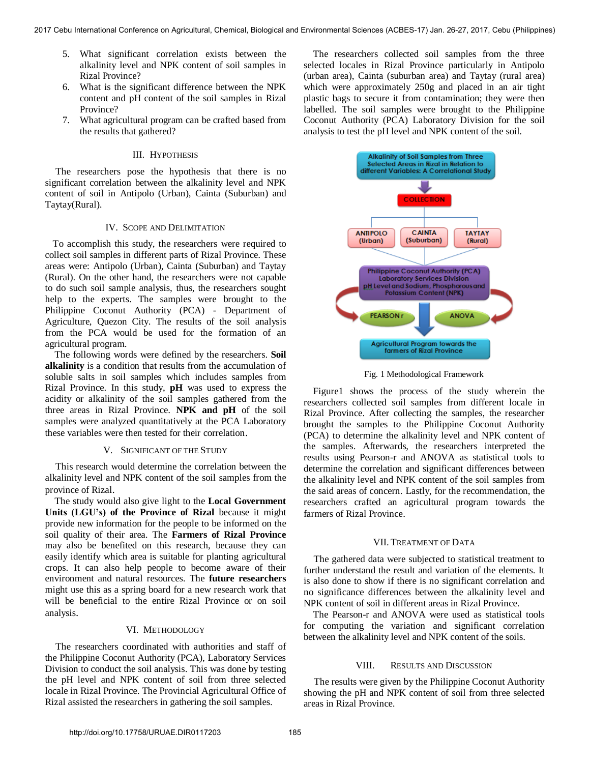- 5. What significant correlation exists between the alkalinity level and NPK content of soil samples in Rizal Province?
- 6. What is the significant difference between the NPK content and pH content of the soil samples in Rizal Province?
- 7. What agricultural program can be crafted based from the results that gathered?

# III. HYPOTHESIS

 The researchers pose the hypothesis that there is no significant correlation between the alkalinity level and NPK content of soil in Antipolo (Urban), Cainta (Suburban) and Taytay(Rural).

# IV. SCOPE AND DELIMITATION

 To accomplish this study, the researchers were required to collect soil samples in different parts of Rizal Province. These areas were: Antipolo (Urban), Cainta (Suburban) and Taytay (Rural). On the other hand, the researchers were not capable to do such soil sample analysis, thus, the researchers sought help to the experts. The samples were brought to the Philippine Coconut Authority (PCA) - Department of Agriculture, Quezon City. The results of the soil analysis from the PCA would be used for the formation of an agricultural program.

 The following words were defined by the researchers. **Soil alkalinity** is a condition that results from the accumulation of soluble salts in soil samples which includes samples from Rizal Province. In this study, **pH** was used to express the acidity or alkalinity of the soil samples gathered from the three areas in Rizal Province. **NPK and pH** of the soil samples were analyzed quantitatively at the PCA Laboratory these variables were then tested for their correlation.

#### V. SIGNIFICANT OF THE STUDY

This research would determine the correlation between the alkalinity level and NPK content of the soil samples from the province of Rizal.

 The study would also give light to the **Local Government Units (LGU's) of the Province of Rizal** because it might provide new information for the people to be informed on the soil quality of their area. The **Farmers of Rizal Province** may also be benefited on this research, because they can easily identify which area is suitable for planting agricultural crops. It can also help people to become aware of their environment and natural resources. The **future researchers** might use this as a spring board for a new research work that will be beneficial to the entire Rizal Province or on soil analysis.

# VI. METHODOLOGY

 The researchers coordinated with authorities and staff of the Philippine Coconut Authority (PCA), Laboratory Services Division to conduct the soil analysis. This was done by testing the pH level and NPK content of soil from three selected locale in Rizal Province. The Provincial Agricultural Office of Rizal assisted the researchers in gathering the soil samples.

 The researchers collected soil samples from the three selected locales in Rizal Province particularly in Antipolo (urban area), Cainta (suburban area) and Taytay (rural area) which were approximately 250g and placed in an air tight plastic bags to secure it from contamination; they were then labelled. The soil samples were brought to the Philippine Coconut Authority (PCA) Laboratory Division for the soil analysis to test the pH level and NPK content of the soil.



Fig. 1 Methodological Framework

 Figure1 shows the process of the study wherein the researchers collected soil samples from different locale in Rizal Province. After collecting the samples, the researcher brought the samples to the Philippine Coconut Authority (PCA) to determine the alkalinity level and NPK content of the samples. Afterwards, the researchers interpreted the results using Pearson-r and ANOVA as statistical tools to determine the correlation and significant differences between the alkalinity level and NPK content of the soil samples from the said areas of concern. Lastly, for the recommendation, the researchers crafted an agricultural program towards the farmers of Rizal Province.

#### VII. TREATMENT OF DATA

 The gathered data were subjected to statistical treatment to further understand the result and variation of the elements. It is also done to show if there is no significant correlation and no significance differences between the alkalinity level and NPK content of soil in different areas in Rizal Province.

 The Pearson-r and ANOVA were used as statistical tools for computing the variation and significant correlation between the alkalinity level and NPK content of the soils.

#### VIII. RESULTS AND DISCUSSION

 The results were given by the Philippine Coconut Authority showing the pH and NPK content of soil from three selected areas in Rizal Province.